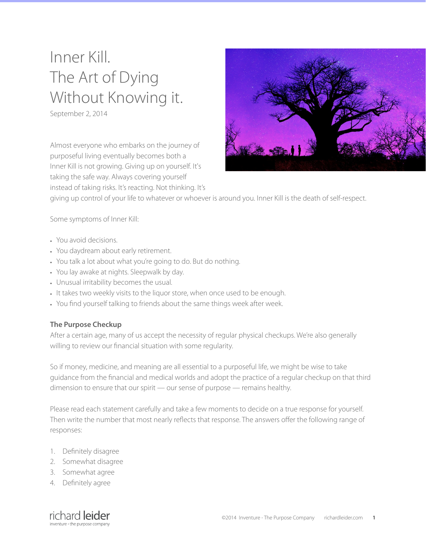# Inner Kill. The Art of Dying Without Knowing it.

September 2, 2014

Almost everyone who embarks on the journey of purposeful living eventually becomes both a Inner Kill is not growing. Giving up on yourself. It's taking the safe way. Always covering yourself instead of taking risks. It's reacting. Not thinking. It's



giving up control of your life to whatever or whoever is around you. Inner Kill is the death of self-respect.

Some symptoms of Inner Kill:

- You avoid decisions.
- You daydream about early retirement.
- You talk a lot about what you're going to do. But do nothing.
- You lay awake at nights. Sleepwalk by day.
- Unusual irritability becomes the usual.
- It takes two weekly visits to the liquor store, when once used to be enough.
- You find yourself talking to friends about the same things week after week.

#### **The Purpose Checkup**

After a certain age, many of us accept the necessity of regular physical checkups. We're also generally willing to review our financial situation with some regularity.

So if money, medicine, and meaning are all essential to a purposeful life, we might be wise to take guidance from the financial and medical worlds and adopt the practice of a regular checkup on that third dimension to ensure that our spirit — our sense of purpose — remains healthy.

Please read each statement carefully and take a few moments to decide on a true response for yourself. Then write the number that most nearly reflects that response. The answers offer the following range of responses:

- 1. Definitely disagree
- 2. Somewhat disagree
- 3. Somewhat agree
- 4. Definitely agree

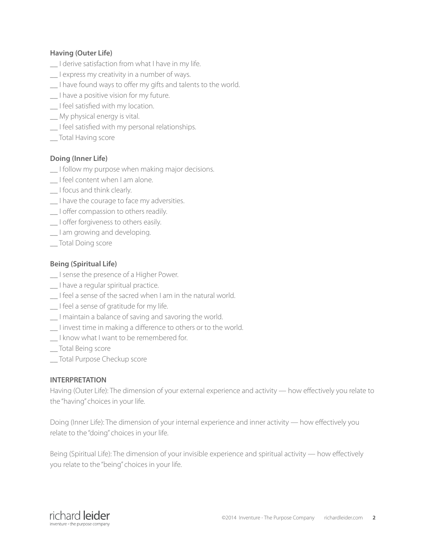### **Having (Outer Life)**

- I derive satisfaction from what I have in my life.
- I express my creativity in a number of ways.
- I have found ways to offer my gifts and talents to the world.
- \_\_ I have a positive vision for my future.
- \_\_ I feel satisfied with my location.
- \_\_ My physical energy is vital.
- I feel satisfied with my personal relationships.
- \_\_ Total Having score

## **Doing (Inner Life)**

- \_\_ I follow my purpose when making major decisions.
- \_\_ I feel content when I am alone.
- \_\_ I focus and think clearly.
- \_\_ I have the courage to face my adversities.
- I offer compassion to others readily.
- \_\_ I offer forgiveness to others easily.
- \_\_ I am growing and developing.
- \_\_ Total Doing score

## **Being (Spiritual Life)**

- \_\_ I sense the presence of a Higher Power.
- \_\_ I have a regular spiritual practice.
- \_\_ I feel a sense of the sacred when I am in the natural world.
- \_\_ I feel a sense of gratitude for my life.
- \_\_ I maintain a balance of saving and savoring the world.
- \_\_ I invest time in making a difference to others or to the world.
- I know what I want to be remembered for.
- \_\_ Total Being score
- \_\_ Total Purpose Checkup score

#### **INTERPRETATION**

Having (Outer Life): The dimension of your external experience and activity — how effectively you relate to the "having" choices in your life.

Doing (Inner Life): The dimension of your internal experience and inner activity — how effectively you relate to the "doing" choices in your life.

Being (Spiritual Life): The dimension of your invisible experience and spiritual activity — how effectively you relate to the "being" choices in your life.